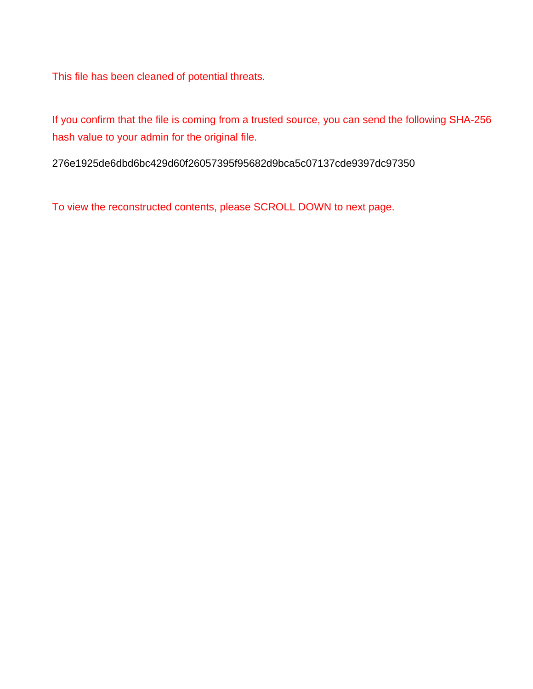This file has been cleaned of potential threats.

If you confirm that the file is coming from a trusted source, you can send the following SHA-256 hash value to your admin for the original file.

276e1925de6dbd6bc429d60f26057395f95682d9bca5c07137cde9397dc97350

To view the reconstructed contents, please SCROLL DOWN to next page.